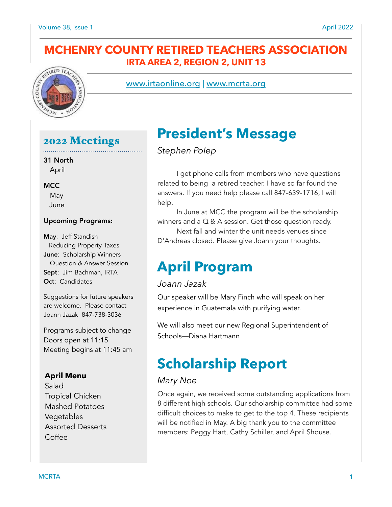## **MCHENRY COUNTY RETIRED TEACHERS ASSOCIATION IRTA AREA 2, REGION 2, UNIT 13**



www.irtaonline.org | [www.mcrta.org](http://www.mcrta.org)

## 2022 Meetings

31 North April

#### **MCC**

 May June

### Upcoming Programs:

May: Jeff Standish Reducing Property Taxes June: Scholarship Winners Question & Answer Session Sept: Jim Bachman, IRTA Oct: Candidates

Suggestions for future speakers are welcome. Please contact Joann Jazak 847-738-3036

Programs subject to change Doors open at 11:15 Meeting begins at 11:45 am

### **April Menu**

Salad Tropical Chicken Mashed Potatoes Vegetables Assorted Desserts Coffee

## **President's Message**

*Stephen Polep* 

 I get phone calls from members who have questions related to being a retired teacher. I have so far found the answers. If you need help please call 847-639-1716, I will help.

In June at MCC the program will be the scholarship winners and a Q & A session. Get those question ready.

 Next fall and winter the unit needs venues since D'Andreas closed. Please give Joann your thoughts.

## **April Program**

### *Joann Jazak*

Our speaker will be Mary Finch who will speak on her experience in Guatemala with purifying water.

We will also meet our new Regional Superintendent of Schools—Diana Hartmann

# **Scholarship Report**

### *Mary Noe*

Once again, we received some outstanding applications from 8 different high schools. Our scholarship committee had some difficult choices to make to get to the top 4. These recipients will be notified in May. A big thank you to the committee members: Peggy Hart, Cathy Schiller, and April Shouse.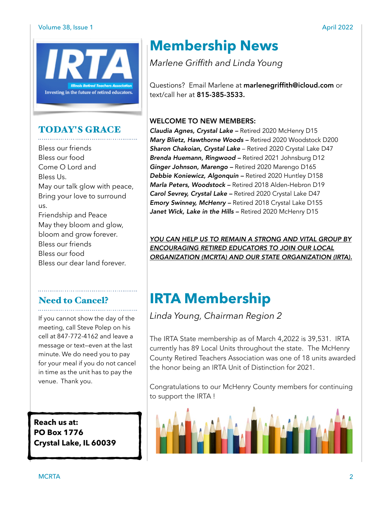#### Volume 38, Issue 1 April 2022



### TODAY'S GRACE

Bless our friends Bless our food Come O Lord and Bless Us. May our talk glow with peace, Bring your love to surround us. Friendship and Peace May they bloom and glow, bloom and grow forever. Bless our friends Bless our food Bless our dear land forever.

# Need to Cancel?

If you cannot show the day of the meeting, call Steve Polep on his cell at 847-772-4162 and leave a message or text—even at the last minute. We do need you to pay for your meal if you do not cancel in time as the unit has to pay the venue. Thank you.

**Reach us at: PO Box 1776 Crystal Lake, IL 60039** 

## **Membership News**

*Marlene Griffith and Linda Young* 

Questions? Email Marlene at marlenegriffith@icloud.com or text/call her at 815-385-3533.

### WELCOME TO NEW MEMBERS:

*Claudia Agnes, Crystal Lake –* Retired 2020 McHenry D15 *Mary Blietz, Hawthorne Woods –* Retired 2020 Woodstock D200 *Sharon Chakoian, Crystal Lake* – Retired 2020 Crystal Lake D47 *Brenda Huemann, Ringwood –* Retired 2021 Johnsburg D12 *Ginger Johnson, Marengo –* Retired 2020 Marengo D165 *Debbie Koniewicz, Algonquin –* Retired 2020 Huntley D158 *Marla Peters, Woodstock –* Retired 2018 Alden-Hebron D19 *Carol Sevrey, Crystal Lake –* Retired 2020 Crystal Lake D47 *Emory Swinney, McHenry –* Retired 2018 Crystal Lake D155 *Janet Wick, Lake in the Hills –* Retired 2020 McHenry D15

*YOU CAN HELP US TO REMAIN A STRONG AND VITAL GROUP BY ENCOURAGING RETIRED EDUCATORS TO JOIN OUR LOCAL ORGANIZATION (MCRTA) AND OUR STATE ORGANIZATION (IRTA).* 

# **IRTA Membership**

*Linda Young, Chairman Region 2* 

The IRTA State membership as of March 4,2022 is 39,531. IRTA currently has 89 Local Units throughout the state. The McHenry County Retired Teachers Association was one of 18 units awarded the honor being an IRTA Unit of Distinction for 2021.

Congratulations to our McHenry County members for continuing to support the IRTA !